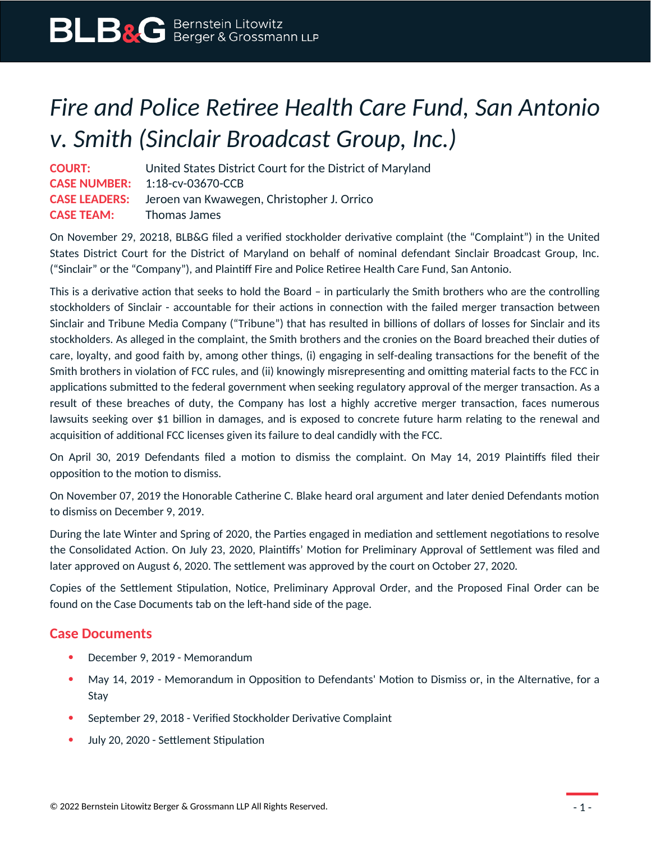## *Fire and Police Retiree Health Care Fund, San Antonio v. Smith (Sinclair Broadcast Group, Inc.)*

**COURT:** United States District Court for the District of Maryland **CASE NUMBER:** 1:18-cv-03670-CCB **CASE LEADERS:** Jeroen van Kwawegen, Christopher J. Orrico **CASE TEAM:** Thomas James

On November 29, 20218, BLB&G filed a verified stockholder derivative complaint (the "Complaint") in the United States District Court for the District of Maryland on behalf of nominal defendant Sinclair Broadcast Group, Inc. ("Sinclair" or the "Company"), and Plaintiff Fire and Police Retiree Health Care Fund, San Antonio.

This is a derivative action that seeks to hold the Board – in particularly the Smith brothers who are the controlling stockholders of Sinclair - accountable for their actions in connection with the failed merger transaction between Sinclair and Tribune Media Company ("Tribune") that has resulted in billions of dollars of losses for Sinclair and its stockholders. As alleged in the complaint, the Smith brothers and the cronies on the Board breached their duties of care, loyalty, and good faith by, among other things, (i) engaging in self-dealing transactions for the benefit of the Smith brothers in violation of FCC rules, and (ii) knowingly misrepresenting and omitting material facts to the FCC in applications submitted to the federal government when seeking regulatory approval of the merger transaction. As a result of these breaches of duty, the Company has lost a highly accretive merger transaction, faces numerous lawsuits seeking over \$1 billion in damages, and is exposed to concrete future harm relating to the renewal and acquisition of additional FCC licenses given its failure to deal candidly with the FCC.

On April 30, 2019 Defendants filed a motion to dismiss the complaint. On May 14, 2019 Plaintiffs filed their opposition to the motion to dismiss.

On November 07, 2019 the Honorable Catherine C. Blake heard oral argument and later denied Defendants motion to dismiss on December 9, 2019.

During the late Winter and Spring of 2020, the Parties engaged in mediation and settlement negotiations to resolve the Consolidated Action. On July 23, 2020, Plaintiffs' Motion for Preliminary Approval of Settlement was filed and later approved on August 6, 2020. The settlement was approved by the court on October 27, 2020.

Copies of the Settlement Stipulation, Notice, Preliminary Approval Order, and the Proposed Final Order can be found on the Case Documents tab on the left-hand side of the page.

## **Case Documents**

- December 9, 2019 Memorandum
- May 14, 2019 Memorandum in Opposition to Defendants' Motion to Dismiss or, in the Alternative, for a Stay
- September 29, 2018 Verified Stockholder Derivative Complaint
- July 20, 2020 Settlement Stipulation